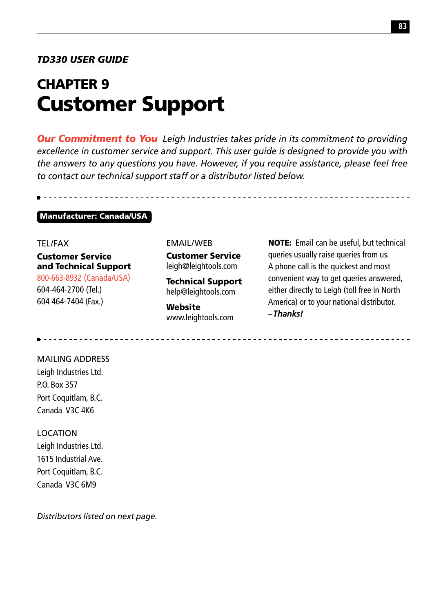#### *TD330 USER GUIDE*

# CHAPTER 9 Customer Support

*Our Commitment to You Leigh Industries takes pride in its commitment to providing excellence in customer service and support. This user guide is designed to provide you with the answers to any questions you have. However, if you require assistance, please feel free to contact our technical support staff or a distributor listed below.*

#### Manufacturer: Canada/USA

#### TEL/FAX

Customer Service and Technical Support 800-663-8932 (Canada/USA) 604-464-2700 (Tel.) 604 464-7404 (Fax.)

#### EMAIL/WEB

Customer Service leigh@leightools.com

Technical Support help@leightools.com

Website www.leightools.com NOTE: Email can be useful, but technical queries usually raise queries from us. A phone call is the quickest and most convenient way to get queries answered, either directly to Leigh (toll free in North America) or to your national distributor. *–Thanks!*

### MAILING ADDRESS Leigh Industries Ltd. P.O. Box 357 Port Coquitlam, B.C. Canada V3C 4K6

#### LOCATION

Leigh Industries Ltd. 1615 Industrial Ave. Port Coquitlam, B.C. Canada V3C 6M9

*Distributors listed on next page.*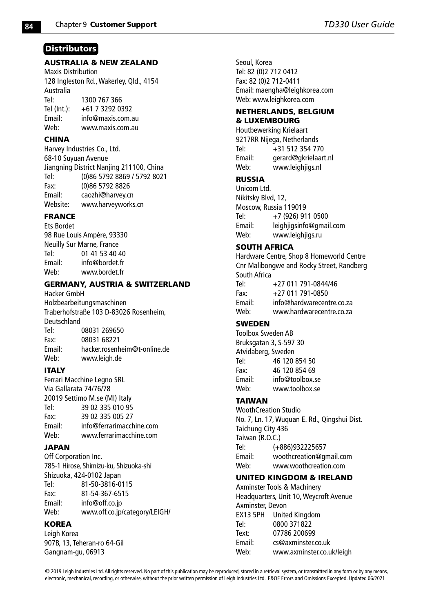#### **Distributors**

#### AUSTRALIA & NEW ZEALAND

Maxis Distribution 128 Ingleston Rd., Wakerley, Qld., 4154 Australia Tel: 1300 767 366<br>Tel (Int): +61 7 3292 0  $+61$  7 3292 0392 Email: info@maxis.com.au Web: www.maxis.com.au

#### **CHINA**

Harvey Industries Co., Ltd. 68-10 Suyuan Avenue Jiangning District Nanjing 211100, China Tel: (0)86 5792 8869 / 5792 8021 Fax: (0)86 5792 8826 Email: caozhi@harvey.cn Website: www.harveyworks.cn

#### FRANCE

Ets Bordet 98 Rue Louis Ampère, 93330 Neuilly Sur Marne, France Tel: 01 41 53 40 40 Email: info@bordet.fr www.bordet.fr

#### GERMANY, AUSTRIA & SWITZERLAND

Hacker GmbH Holzbearbeitungsmaschinen Traberhofstraße 103 D-83026 Rosenheim, Deutschland Tel: 08031 269650 Fax: 08031 68221 Email: hacker.rosenheim@t-online.de Web: www.leigh.de

#### ITALY

Ferrari Macchine Legno SRL Via Gallarata 74/76/78 20019 Settimo M.se (MI) Italy Tel: 39 02 335 010 95 Fax: 39 02 335 005 27 Email: info@ferrarimacchine.com Web: www.ferrarimacchine.com

#### JAPAN

Off Corporation Inc. 785-1 Hirose, Shimizu-ku, Shizuoka-shi Shizuoka, 424-0102 Japan Tel: 81-50-3816-0115 Fax: 81-54-367-6515 Email: info@off.co.jp Web: www.off.co.jp/category/LEIGH/

#### **KOREA**

Leigh Korea 907B, 13, Teheran-ro 64-Gil Gangnam-gu, 06913

Seoul, Korea Tel: 82 (0)2 712 0412 Fax: 82 (0)2 712-0411 Email: maengha@leighkorea.com Web: www.leighkorea.com

#### NETHERLANDS, BELGIUM & LUXEMBOURG

Houtbewerking Krielaart 9217RR Nijega, Netherlands Tel:  $+31\,512\,354\,770$ <br>Email: gerard@gkrielaar Email: gerard@gkrielaart.nl<br>Web: www.leighiigs.nl www.leighiigs.nl

#### RUSSIA

Unicom Ltd. Nikitsky Blvd, 12, Moscow, Russia 119019 Tel: +7 (926) 911 0500 Email: leighjigsinfo@gmail.com Web: www.leighjigs.ru

#### SOUTH AFRICA

Hardware Centre, Shop 8 Homeworld Centre Cnr Malibongwe and Rocky Street, Randberg South Africa<br>Tel·  $+27.011.791 - 0844/46$  $Fax: +27,011,791-0850$ Email: info@hardwarecentre.co.za Web: www.hardwarecentre.co.za SWEDEN

Toolbox Sweden AB Bruksgatan 3, S-597 30 Atvidaberg, Sweden Tel: 46 120 854 50 Fax: 46 120 854 69 Email: info@toolbox.se www.toolbox.se

#### TAIWAN

WoothCreation Studio No. 7, Ln. 17, Wuquan E. Rd., Qingshui Dist. Taichung City 436 Taiwan (R.O.C.) Tel: (+886)932225657 Email: woothcreation@gmail.com Web: www.woothcreation.com

#### UNITED KINGDOM & IRELAND

Axminster Tools & Machinery Headquarters, Unit 10, Weycroft Avenue Axminster, Devon EX13 5PH United Kingdom Tel: 0800 371822 Text: 07786 200699 Email: cs@axminster.co.uk Web: www.axminster.co.uk/leigh

© 2019 Leigh Industries Ltd. All rights reserved. No part of this publication may be reproduced, stored in a retrieval system, or transmitted in any form or by any means, electronic, mechanical, recording, or otherwise, without the prior written permission of Leigh Industries Ltd. E&OE Errors and Omissions Excepted. Updated 06/2021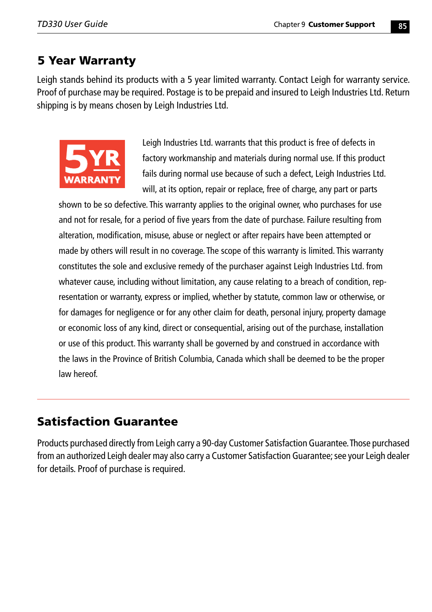### 5 Year Warranty

Leigh stands behind its products with a 5 year limited warranty. Contact Leigh for warranty service. Proof of purchase may be required. Postage is to be prepaid and insured to Leigh Industries Ltd. Return shipping is by means chosen by Leigh Industries Ltd.



Leigh Industries Ltd. warrants that this product is free of defects in factory workmanship and materials during normal use. If this product fails during normal use because of such a defect, Leigh Industries Ltd. will, at its option, repair or replace, free of charge, any part or parts

shown to be so defective. This warranty applies to the original owner, who purchases for use and not for resale, for a period of five years from the date of purchase. Failure resulting from alteration, modification, misuse, abuse or neglect or after repairs have been attempted or made by others will result in no coverage. The scope of this warranty is limited. This warranty constitutes the sole and exclusive remedy of the purchaser against Leigh Industries Ltd. from whatever cause, including without limitation, any cause relating to a breach of condition, representation or warranty, express or implied, whether by statute, common law or otherwise, or for damages for negligence or for any other claim for death, personal injury, property damage or economic loss of any kind, direct or consequential, arising out of the purchase, installation or use of this product. This warranty shall be governed by and construed in accordance with the laws in the Province of British Columbia, Canada which shall be deemed to be the proper law hereof.

### Satisfaction Guarantee

Products purchased directly from Leigh carry a 90-day Customer Satisfaction Guarantee. Those purchased from an authorized Leigh dealer may also carry a Customer Satisfaction Guarantee; see your Leigh dealer for details. Proof of purchase is required.